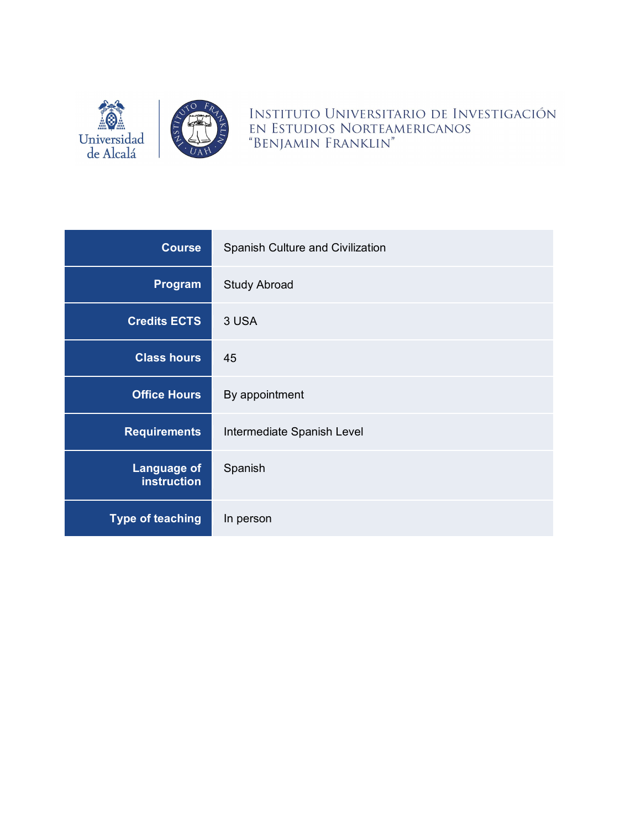

INSTITUTO UNIVERSITARIO DE INVESTIGACIÓN EN ESTUDIOS NORTEAMERICANOS "BENJAMIN FRANKLIN"

| <b>Course</b>                            | Spanish Culture and Civilization |  |
|------------------------------------------|----------------------------------|--|
| Program                                  | <b>Study Abroad</b>              |  |
| <b>Credits ECTS</b>                      | 3 USA                            |  |
| <b>Class hours</b>                       | 45                               |  |
| <b>Office Hours</b>                      | By appointment                   |  |
| <b>Requirements</b>                      | Intermediate Spanish Level       |  |
| <b>Language of</b><br><b>instruction</b> | Spanish                          |  |
| <b>Type of teaching</b>                  | In person                        |  |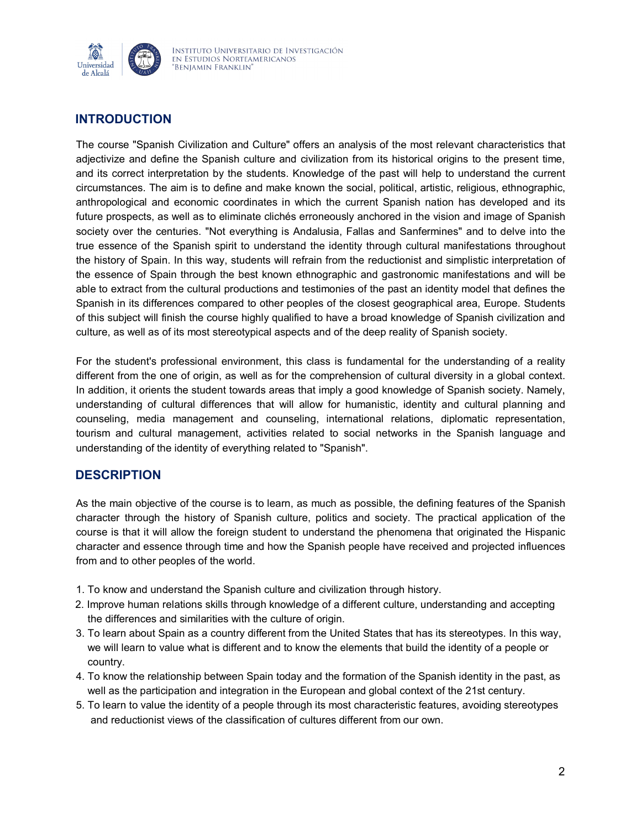

# **INTRODUCTION**

The course "Spanish Civilization and Culture" offers an analysis of the most relevant characteristics that adjectivize and define the Spanish culture and civilization from its historical origins to the present time, and its correct interpretation by the students. Knowledge of the past will help to understand the current circumstances. The aim is to define and make known the social, political, artistic, religious, ethnographic, anthropological and economic coordinates in which the current Spanish nation has developed and its future prospects, as well as to eliminate clichés erroneously anchored in the vision and image of Spanish society over the centuries. "Not everything is Andalusia, Fallas and Sanfermines" and to delve into the true essence of the Spanish spirit to understand the identity through cultural manifestations throughout the history of Spain. In this way, students will refrain from the reductionist and simplistic interpretation of the essence of Spain through the best known ethnographic and gastronomic manifestations and will be able to extract from the cultural productions and testimonies of the past an identity model that defines the Spanish in its differences compared to other peoples of the closest geographical area, Europe. Students of this subject will finish the course highly qualified to have a broad knowledge of Spanish civilization and culture, as well as of its most stereotypical aspects and of the deep reality of Spanish society.

For the student's professional environment, this class is fundamental for the understanding of a reality different from the one of origin, as well as for the comprehension of cultural diversity in a global context. In addition, it orients the student towards areas that imply a good knowledge of Spanish society. Namely, understanding of cultural differences that will allow for humanistic, identity and cultural planning and counseling, media management and counseling, international relations, diplomatic representation, tourism and cultural management, activities related to social networks in the Spanish language and understanding of the identity of everything related to "Spanish".

### **DESCRIPTION**

As the main objective of the course is to learn, as much as possible, the defining features of the Spanish character through the history of Spanish culture, politics and society. The practical application of the course is that it will allow the foreign student to understand the phenomena that originated the Hispanic character and essence through time and how the Spanish people have received and projected influences from and to other peoples of the world.

- 1. To know and understand the Spanish culture and civilization through history.
- 2. Improve human relations skills through knowledge of a different culture, understanding and accepting the differences and similarities with the culture of origin.
- 3. To learn about Spain as a country different from the United States that has its stereotypes. In this way, we will learn to value what is different and to know the elements that build the identity of a people or country.
- 4. To know the relationship between Spain today and the formation of the Spanish identity in the past, as well as the participation and integration in the European and global context of the 21st century.
- 5. To learn to value the identity of a people through its most characteristic features, avoiding stereotypes and reductionist views of the classification of cultures different from our own.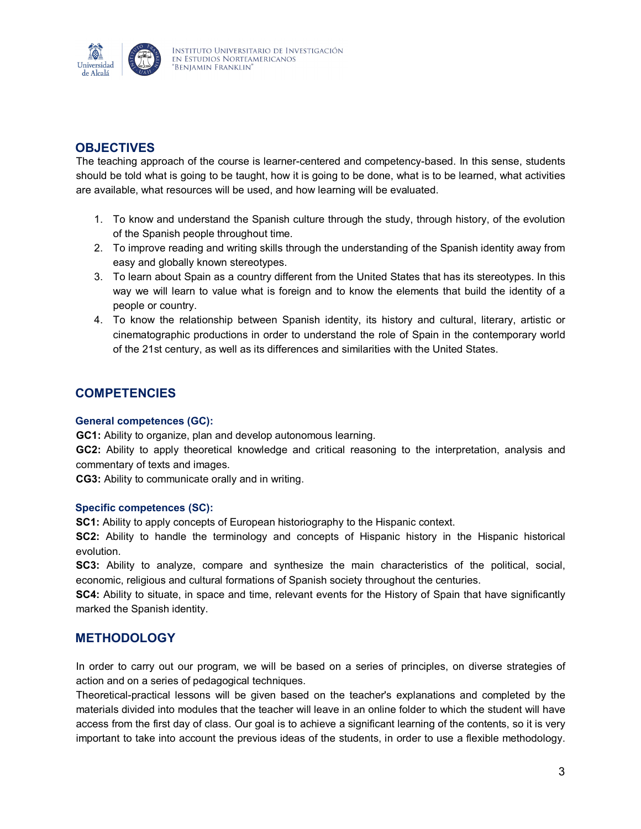

## **OBJECTIVES**

The teaching approach of the course is learner-centered and competency-based. In this sense, students should be told what is going to be taught, how it is going to be done, what is to be learned, what activities are available, what resources will be used, and how learning will be evaluated.

- 1. To know and understand the Spanish culture through the study, through history, of the evolution of the Spanish people throughout time.
- 2. To improve reading and writing skills through the understanding of the Spanish identity away from easy and globally known stereotypes.
- 3. To learn about Spain as a country different from the United States that has its stereotypes. In this way we will learn to value what is foreign and to know the elements that build the identity of a people or country.
- 4. To know the relationship between Spanish identity, its history and cultural, literary, artistic or cinematographic productions in order to understand the role of Spain in the contemporary world of the 21st century, as well as its differences and similarities with the United States.

### **COMPETENCIES**

#### **General competences (GC):**

**GC1:** Ability to organize, plan and develop autonomous learning.

**GC2:** Ability to apply theoretical knowledge and critical reasoning to the interpretation, analysis and commentary of texts and images.

**CG3:** Ability to communicate orally and in writing.

#### **Specific competences (SC):**

**SC1:** Ability to apply concepts of European historiography to the Hispanic context.

**SC2:** Ability to handle the terminology and concepts of Hispanic history in the Hispanic historical evolution.

**SC3:** Ability to analyze, compare and synthesize the main characteristics of the political, social, economic, religious and cultural formations of Spanish society throughout the centuries.

**SC4:** Ability to situate, in space and time, relevant events for the History of Spain that have significantly marked the Spanish identity.

### **METHODOLOGY**

In order to carry out our program, we will be based on a series of principles, on diverse strategies of action and on a series of pedagogical techniques.

Theoretical-practical lessons will be given based on the teacher's explanations and completed by the materials divided into modules that the teacher will leave in an online folder to which the student will have access from the first day of class. Our goal is to achieve a significant learning of the contents, so it is very important to take into account the previous ideas of the students, in order to use a flexible methodology.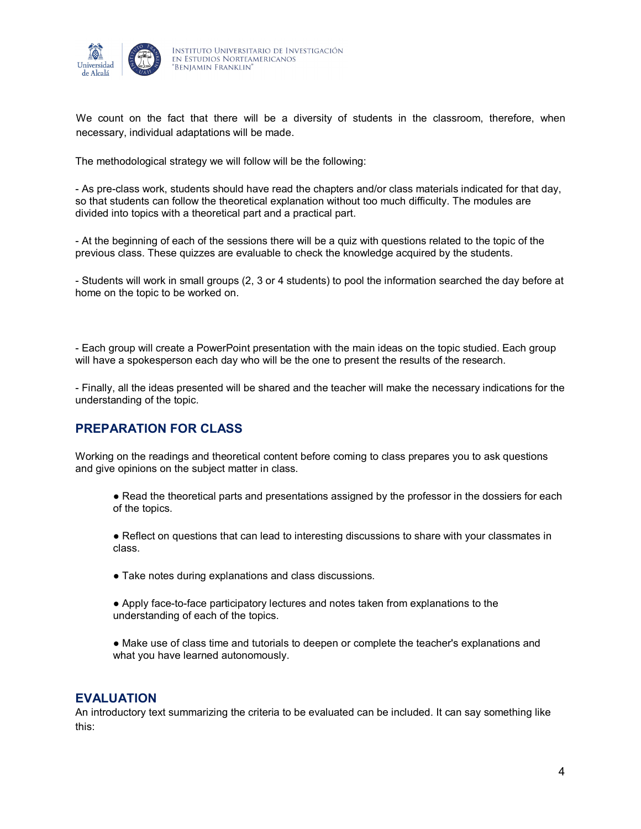

We count on the fact that there will be a diversity of students in the classroom, therefore, when necessary, individual adaptations will be made.

The methodological strategy we will follow will be the following:

- As pre-class work, students should have read the chapters and/or class materials indicated for that day, so that students can follow the theoretical explanation without too much difficulty. The modules are divided into topics with a theoretical part and a practical part.

- At the beginning of each of the sessions there will be a quiz with questions related to the topic of the previous class. These quizzes are evaluable to check the knowledge acquired by the students.

- Students will work in small groups (2, 3 or 4 students) to pool the information searched the day before at home on the topic to be worked on.

- Each group will create a PowerPoint presentation with the main ideas on the topic studied. Each group will have a spokesperson each day who will be the one to present the results of the research.

- Finally, all the ideas presented will be shared and the teacher will make the necessary indications for the understanding of the topic.

### **PREPARATION FOR CLASS**

Working on the readings and theoretical content before coming to class prepares you to ask questions and give opinions on the subject matter in class.

● Read the theoretical parts and presentations assigned by the professor in the dossiers for each of the topics.

• Reflect on questions that can lead to interesting discussions to share with your classmates in class.

- Take notes during explanations and class discussions.
- Apply face-to-face participatory lectures and notes taken from explanations to the understanding of each of the topics.

● Make use of class time and tutorials to deepen or complete the teacher's explanations and what you have learned autonomously.

#### **EVALUATION**

An introductory text summarizing the criteria to be evaluated can be included. It can say something like this: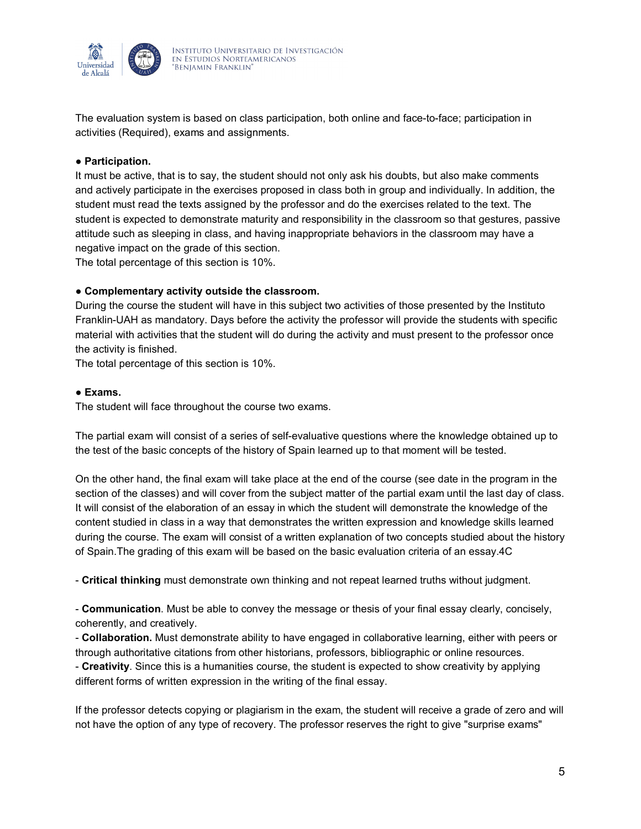

The evaluation system is based on class participation, both online and face-to-face; participation in activities (Required), exams and assignments.

#### ● **Participation.**

It must be active, that is to say, the student should not only ask his doubts, but also make comments and actively participate in the exercises proposed in class both in group and individually. In addition, the student must read the texts assigned by the professor and do the exercises related to the text. The student is expected to demonstrate maturity and responsibility in the classroom so that gestures, passive attitude such as sleeping in class, and having inappropriate behaviors in the classroom may have a negative impact on the grade of this section.

The total percentage of this section is 10%.

#### ● **Complementary activity outside the classroom.**

During the course the student will have in this subject two activities of those presented by the Instituto Franklin-UAH as mandatory. Days before the activity the professor will provide the students with specific material with activities that the student will do during the activity and must present to the professor once the activity is finished.

The total percentage of this section is 10%.

#### ● **Exams.**

The student will face throughout the course two exams.

The partial exam will consist of a series of self-evaluative questions where the knowledge obtained up to the test of the basic concepts of the history of Spain learned up to that moment will be tested.

On the other hand, the final exam will take place at the end of the course (see date in the program in the section of the classes) and will cover from the subject matter of the partial exam until the last day of class. It will consist of the elaboration of an essay in which the student will demonstrate the knowledge of the content studied in class in a way that demonstrates the written expression and knowledge skills learned during the course. The exam will consist of a written explanation of two concepts studied about the history of Spain.The grading of this exam will be based on the basic evaluation criteria of an essay.4C

- **Critical thinking** must demonstrate own thinking and not repeat learned truths without judgment.

- **Communication**. Must be able to convey the message or thesis of your final essay clearly, concisely, coherently, and creatively.

- **Collaboration.** Must demonstrate ability to have engaged in collaborative learning, either with peers or through authoritative citations from other historians, professors, bibliographic or online resources.

- **Creativity**. Since this is a humanities course, the student is expected to show creativity by applying different forms of written expression in the writing of the final essay.

If the professor detects copying or plagiarism in the exam, the student will receive a grade of zero and will not have the option of any type of recovery. The professor reserves the right to give "surprise exams"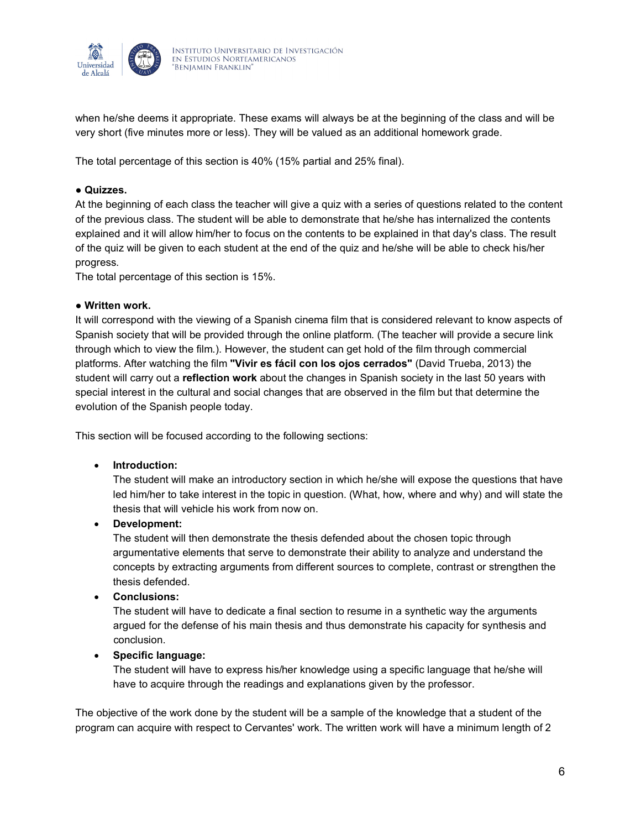

when he/she deems it appropriate. These exams will always be at the beginning of the class and will be very short (five minutes more or less). They will be valued as an additional homework grade.

The total percentage of this section is 40% (15% partial and 25% final).

#### ● **Quizzes.**

At the beginning of each class the teacher will give a quiz with a series of questions related to the content of the previous class. The student will be able to demonstrate that he/she has internalized the contents explained and it will allow him/her to focus on the contents to be explained in that day's class. The result of the quiz will be given to each student at the end of the quiz and he/she will be able to check his/her progress.

The total percentage of this section is 15%.

#### ● **Written work.**

It will correspond with the viewing of a Spanish cinema film that is considered relevant to know aspects of Spanish society that will be provided through the online platform. (The teacher will provide a secure link through which to view the film.). However, the student can get hold of the film through commercial platforms. After watching the film **"Vivir es fácil con los ojos cerrados"** (David Trueba, 2013) the student will carry out a **reflection work** about the changes in Spanish society in the last 50 years with special interest in the cultural and social changes that are observed in the film but that determine the evolution of the Spanish people today.

This section will be focused according to the following sections:

#### • **Introduction:**

The student will make an introductory section in which he/she will expose the questions that have led him/her to take interest in the topic in question. (What, how, where and why) and will state the thesis that will vehicle his work from now on.

• **Development:**

The student will then demonstrate the thesis defended about the chosen topic through argumentative elements that serve to demonstrate their ability to analyze and understand the concepts by extracting arguments from different sources to complete, contrast or strengthen the thesis defended.

• **Conclusions:**

 The student will have to dedicate a final section to resume in a synthetic way the arguments argued for the defense of his main thesis and thus demonstrate his capacity for synthesis and conclusion.

#### • **Specific language:**

 The student will have to express his/her knowledge using a specific language that he/she will have to acquire through the readings and explanations given by the professor.

The objective of the work done by the student will be a sample of the knowledge that a student of the program can acquire with respect to Cervantes' work. The written work will have a minimum length of 2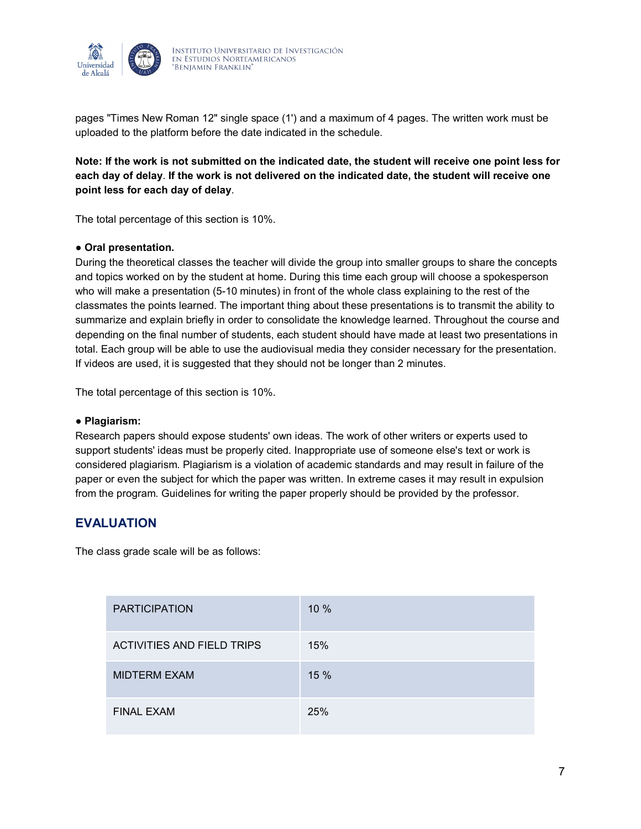

pages "Times New Roman 12" single space (1') and a maximum of 4 pages. The written work must be uploaded to the platform before the date indicated in the schedule.

**Note: If the work is not submitted on the indicated date, the student will receive one point less for each day of delay**. **If the work is not delivered on the indicated date, the student will receive one point less for each day of delay**.

The total percentage of this section is 10%.

#### ● **Oral presentation.**

During the theoretical classes the teacher will divide the group into smaller groups to share the concepts and topics worked on by the student at home. During this time each group will choose a spokesperson who will make a presentation (5-10 minutes) in front of the whole class explaining to the rest of the classmates the points learned. The important thing about these presentations is to transmit the ability to summarize and explain briefly in order to consolidate the knowledge learned. Throughout the course and depending on the final number of students, each student should have made at least two presentations in total. Each group will be able to use the audiovisual media they consider necessary for the presentation. If videos are used, it is suggested that they should not be longer than 2 minutes.

The total percentage of this section is 10%.

#### ● **Plagiarism:**

Research papers should expose students' own ideas. The work of other writers or experts used to support students' ideas must be properly cited. Inappropriate use of someone else's text or work is considered plagiarism. Plagiarism is a violation of academic standards and may result in failure of the paper or even the subject for which the paper was written. In extreme cases it may result in expulsion from the program. Guidelines for writing the paper properly should be provided by the professor.

### **EVALUATION**

The class grade scale will be as follows:

| <b>PARTICIPATION</b>       | 10% |
|----------------------------|-----|
| ACTIVITIES AND FIELD TRIPS | 15% |
| <b>MIDTERM EXAM</b>        | 15% |
| <b>FINAL EXAM</b>          | 25% |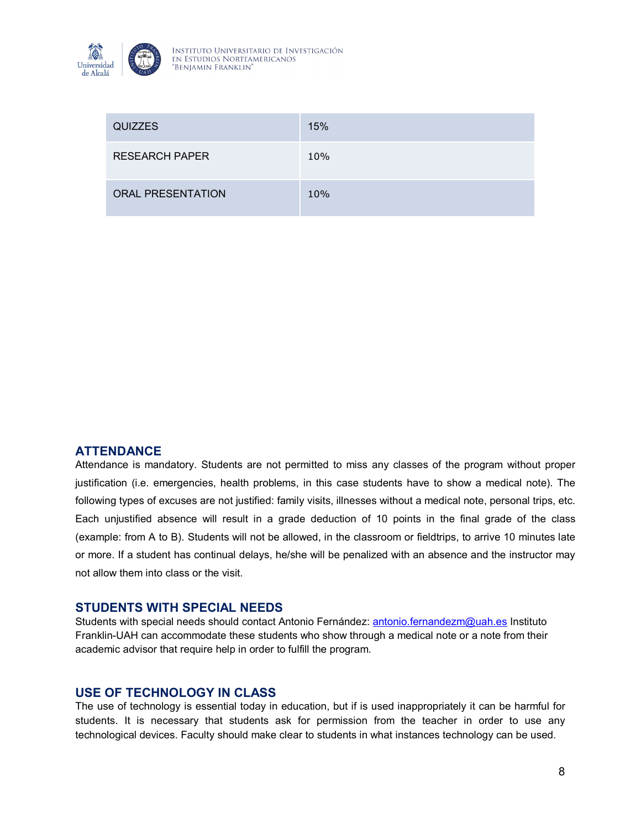

| <b>QUIZZES</b>           | 15% |
|--------------------------|-----|
| <b>RESEARCH PAPER</b>    | 10% |
| <b>ORAL PRESENTATION</b> | 10% |

#### **ATTENDANCE**

Attendance is mandatory. Students are not permitted to miss any classes of the program without proper justification (i.e. emergencies, health problems, in this case students have to show a medical note). The following types of excuses are not justified: family visits, illnesses without a medical note, personal trips, etc. Each unjustified absence will result in a grade deduction of 10 points in the final grade of the class (example: from A to B). Students will not be allowed, in the classroom or fieldtrips, to arrive 10 minutes late or more. If a student has continual delays, he/she will be penalized with an absence and the instructor may not allow them into class or the visit.

#### **STUDENTS WITH SPECIAL NEEDS**

Students with special needs should contact Antonio Fernández: [antonio.fernandezm@uah.es](mailto:antonio.fernandezm@uah.es) Instituto Franklin-UAH can accommodate these students who show through a medical note or a note from their academic advisor that require help in order to fulfill the program.

### **USE OF TECHNOLOGY IN CLASS**

The use of technology is essential today in education, but if is used inappropriately it can be harmful for students. It is necessary that students ask for permission from the teacher in order to use any technological devices. Faculty should make clear to students in what instances technology can be used.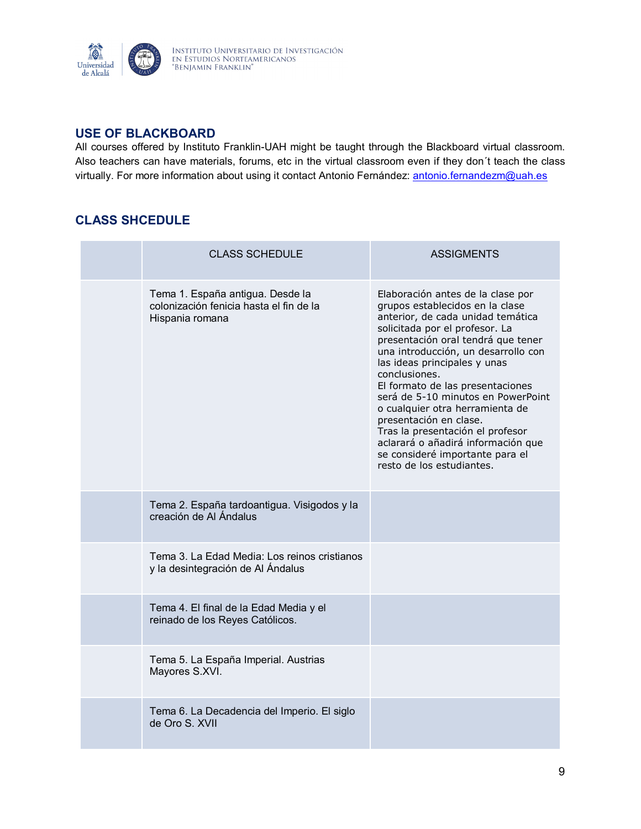

## **USE OF BLACKBOARD**

All courses offered by Instituto Franklin-UAH might be taught through the Blackboard virtual classroom. Also teachers can have materials, forums, etc in the virtual classroom even if they don´t teach the class virtually. For more information about using it contact Antonio Fernández: [antonio.fernandezm@uah.es](mailto:antonio.fernandezm@uah.es)

# **CLASS SHCEDULE**

| <b>CLASS SCHEDULE</b>                                                                          | <b>ASSIGMENTS</b>                                                                                                                                                                                                                                                                                                                                                                                                                                                                                                                                          |
|------------------------------------------------------------------------------------------------|------------------------------------------------------------------------------------------------------------------------------------------------------------------------------------------------------------------------------------------------------------------------------------------------------------------------------------------------------------------------------------------------------------------------------------------------------------------------------------------------------------------------------------------------------------|
| Tema 1. España antigua. Desde la<br>colonización fenicia hasta el fin de la<br>Hispania romana | Elaboración antes de la clase por<br>grupos establecidos en la clase<br>anterior, de cada unidad temática<br>solicitada por el profesor. La<br>presentación oral tendrá que tener<br>una introducción, un desarrollo con<br>las ideas principales y unas<br>conclusiones.<br>El formato de las presentaciones<br>será de 5-10 minutos en PowerPoint<br>o cualquier otra herramienta de<br>presentación en clase.<br>Tras la presentación el profesor<br>aclarará o añadirá información que<br>se consideré importante para el<br>resto de los estudiantes. |
| Tema 2. España tardoantigua. Visigodos y la<br>creación de Al Ándalus                          |                                                                                                                                                                                                                                                                                                                                                                                                                                                                                                                                                            |
| Tema 3. La Edad Media: Los reinos cristianos<br>y la desintegración de Al Ándalus              |                                                                                                                                                                                                                                                                                                                                                                                                                                                                                                                                                            |
| Tema 4. El final de la Edad Media y el<br>reinado de los Reyes Católicos.                      |                                                                                                                                                                                                                                                                                                                                                                                                                                                                                                                                                            |
| Tema 5. La España Imperial. Austrias<br>Mayores S.XVI.                                         |                                                                                                                                                                                                                                                                                                                                                                                                                                                                                                                                                            |
| Tema 6. La Decadencia del Imperio. El siglo<br>de Oro S. XVII                                  |                                                                                                                                                                                                                                                                                                                                                                                                                                                                                                                                                            |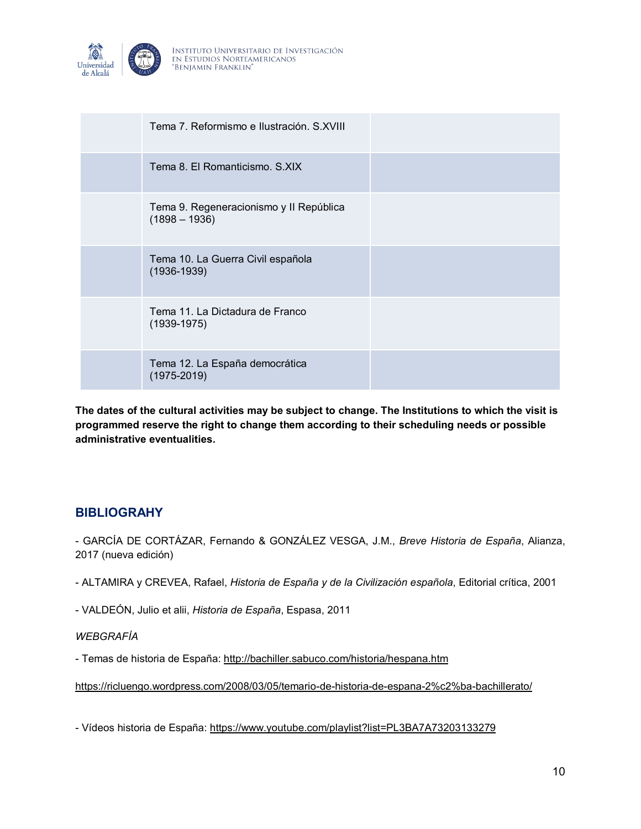

| Tema 7. Reformismo e Ilustración, S.XVIII                  |  |
|------------------------------------------------------------|--|
| Tema 8. El Romanticismo, S.XIX                             |  |
| Tema 9. Regeneracionismo y II República<br>$(1898 - 1936)$ |  |
| Tema 10. La Guerra Civil española<br>$(1936 - 1939)$       |  |
| Tema 11, La Dictadura de Franco<br>$(1939-1975)$           |  |
| Tema 12. La España democrática<br>$(1975 - 2019)$          |  |

**The dates of the cultural activities may be subject to change. The Institutions to which the visit is programmed reserve the right to change them according to their scheduling needs or possible administrative eventualities.**

### **BIBLIOGRAHY**

- GARCÍA DE CORTÁZAR, Fernando & GONZÁLEZ VESGA, J.M., *Breve Historia de España*, Alianza, 2017 (nueva edición)

- ALTAMIRA y CREVEA, Rafael, *Historia de España y de la Civilización española*, Editorial crítica, 2001

- VALDEÓN, Julio et alii, *Historia de España*, Espasa, 2011

### *WEBGRAFÍA*

- Temas de historia de España[: http://bachiller.sabuco.com/historia/hespana.htm](http://bachiller.sabuco.com/historia/hespana.htm)

<https://ricluengo.wordpress.com/2008/03/05/temario-de-historia-de-espana-2%c2%ba-bachillerato/>

- Vídeos historia de España:<https://www.youtube.com/playlist?list=PL3BA7A73203133279>